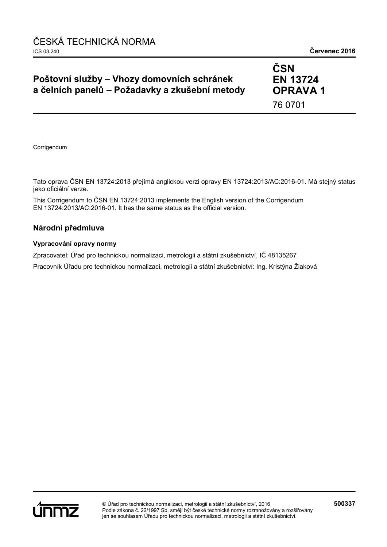## **Poštovní služby – Vhozy domovních schránek a čelních panelů – Požadavky a zkušební metody**

**ČSN EN 13724 OPRAVA 1** 76 0701

Corrigendum

Tato oprava ČSN EN 13724:2013 přejímá anglickou verzi opravy EN 13724:2013/AC:2016-01. Má stejný status jako oficiální verze.

This Corrigendum to ČSN EN 13724:2013 implements the English version of the Corrigendum EN 13724:2013/AC:2016-01. It has the same status as the official version.

### **Národní předmluva**

#### **Vypracování opravy normy**

Zpracovatel: Úřad pro technickou normalizaci, metrologii a státní zkušebnictví, IČ 48135267

Pracovník Úřadu pro technickou normalizaci, metrologii a státní zkušebnictví: Ing. Kristýna Žiaková

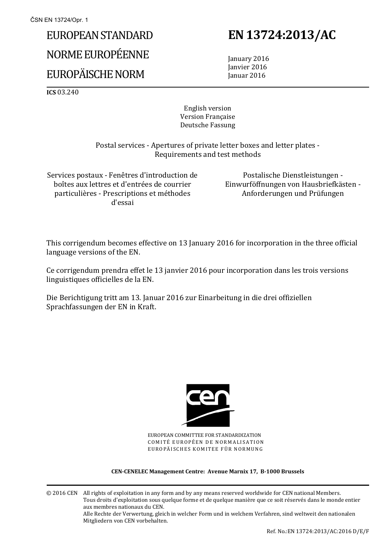# EUROPEAN STANDARD NORME EUROPÉENNE EUROPÄISCHE NORM

## **EN 13724:2013/AC**

 January 2016 Janvier 2016 Januar 2016

**ICS** 03.240

English version Version Française Deutsche Fassung

 Postal services - Apertures of private letter boxes and letter plates - Requirements and test methods

Services postaux - Fenêtres d'introduction de boîtes aux lettres et d'entrées de courrier particulières - Prescriptions et méthodes d'essai

 Postalische Dienstleistungen - Einwurföffnungen von Hausbriefkästen - Anforderungen und Prüfungen

This corrigendum becomes effective on 13 January 2016 for incorporation in the three official language versions of the EN.

Ce corrigendum prendra effet le 13 janvier 2016 pour incorporation dans les trois versions linguistiques officielles de la EN.

Die Berichtigung tritt am 13. Januar 2016 zur Einarbeitung in die drei offiziellen Sprachfassungen der EN in Kraft.



EUROPEAN COMMITTEE FOR STANDARDIZATION COMITÉ EUROPÉEN DE NORMALISATION EUROPÄISCHES KOMITEE FÜR NORMUNG

#### **CEN-CENELEC Management Centre: Avenue Marnix 17, B-1000 Brussels**

© 2016 CEN All rights of exploitation in any form and by any means reserved worldwide for CEN national Members. Tous droits d'exploitation sous quelque forme et de quelque manière que ce soit réservés dans le monde entier aux membres nationaux du CEN. Alle Rechte der Verwertung, gleich in welcher Form und in welchem Verfahren, sind weltweit den nationalen Mitgliedern von CEN vorbehalten.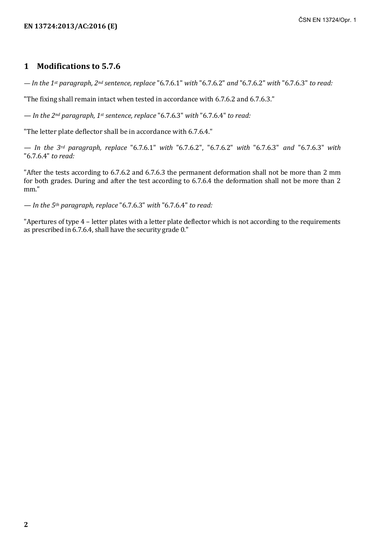### **1 Modifications to 5.7.6**

*— In the 1st paragraph, 2nd sentence, replace* "6.7.6.1" *with* "6.7.6.2" *and* "6.7.6.2" *with* "6.7.6.3" *to read:*

"The fixing shall remain intact when tested in accordance with 6.7.6.2 and 6.7.6.3."

*— In the 2nd paragraph, 1st sentence, replace* "6.7.6.3" *with* "6.7.6.4" *to read:*

"The letter plate deflector shall be in accordance with 6.7.6.4."

*— In the 3rd paragraph, replace* "6.7.6.1" *with* "6.7.6.2", "6.7.6.2" *with* "6.7.6.3" *and* "6.7.6.3" *with*  "6.7.6.4" *to read:*

"After the tests according to 6.7.6.2 and 6.7.6.3 the permanent deformation shall not be more than 2 mm for both grades. During and after the test according to 6.7.6.4 the deformation shall not be more than 2 mm."

*— In the 5th paragraph, replace* "6.7.6.3" *with* "6.7.6.4" *to read:*

"Apertures of type 4 – letter plates with a letter plate deflector which is not according to the requirements as prescribed in 6.7.6.4, shall have the security grade 0."